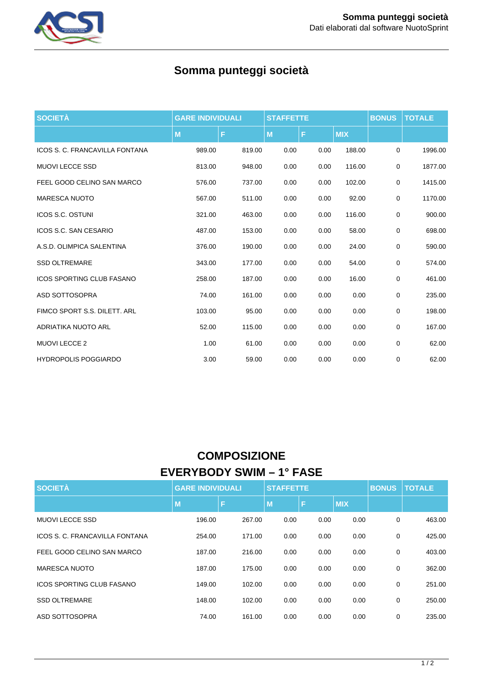

# **Somma punteggi società**

| <b>SOCIETÀ</b>                   | <b>GARE INDIVIDUALI</b> |        | <b>STAFFETTE</b> |      |            | <b>BONUS</b> | <b>TOTALE</b> |
|----------------------------------|-------------------------|--------|------------------|------|------------|--------------|---------------|
|                                  | M                       | F      | M                | F    | <b>MIX</b> |              |               |
| ICOS S. C. FRANCAVILLA FONTANA   | 989.00                  | 819.00 | 0.00             | 0.00 | 188.00     | 0            | 1996.00       |
| <b>MUOVI LECCE SSD</b>           | 813.00                  | 948.00 | 0.00             | 0.00 | 116.00     | $\mathbf 0$  | 1877.00       |
| FEEL GOOD CELINO SAN MARCO       | 576.00                  | 737.00 | 0.00             | 0.00 | 102.00     | 0            | 1415.00       |
| <b>MARESCA NUOTO</b>             | 567.00                  | 511.00 | 0.00             | 0.00 | 92.00      | 0            | 1170.00       |
| <b>ICOS S.C. OSTUNI</b>          | 321.00                  | 463.00 | 0.00             | 0.00 | 116.00     | $\mathbf 0$  | 900.00        |
| ICOS S.C. SAN CESARIO            | 487.00                  | 153.00 | 0.00             | 0.00 | 58.00      | 0            | 698.00        |
| A.S.D. OLIMPICA SALENTINA        | 376.00                  | 190.00 | 0.00             | 0.00 | 24.00      | 0            | 590.00        |
| <b>SSD OLTREMARE</b>             | 343.00                  | 177.00 | 0.00             | 0.00 | 54.00      | 0            | 574.00        |
| <b>ICOS SPORTING CLUB FASANO</b> | 258.00                  | 187.00 | 0.00             | 0.00 | 16.00      | $\mathbf 0$  | 461.00        |
| ASD SOTTOSOPRA                   | 74.00                   | 161.00 | 0.00             | 0.00 | 0.00       | $\mathbf 0$  | 235.00        |
| FIMCO SPORT S.S. DILETT. ARL     | 103.00                  | 95.00  | 0.00             | 0.00 | 0.00       | $\mathbf 0$  | 198.00        |
| ADRIATIKA NUOTO ARL              | 52.00                   | 115.00 | 0.00             | 0.00 | 0.00       | $\mathbf 0$  | 167.00        |
| <b>MUOVI LECCE 2</b>             | 1.00                    | 61.00  | 0.00             | 0.00 | 0.00       | 0            | 62.00         |
| <b>HYDROPOLIS POGGIARDO</b>      | 3.00                    | 59.00  | 0.00             | 0.00 | 0.00       | 0            | 62.00         |

## **COMPOSIZIONE EVERYBODY SWIM – 1° FASE**

| <b>SOCIETÀ</b>                   | <b>GARE INDIVIDUALI</b> |        | <b>STAFFETTE</b> |      | <b>BONUS</b> | <b>TOTALE</b> |        |
|----------------------------------|-------------------------|--------|------------------|------|--------------|---------------|--------|
|                                  | M                       | Е      | M                | F    | <b>MIX</b>   |               |        |
| <b>MUOVI LECCE SSD</b>           | 196.00                  | 267.00 | 0.00             | 0.00 | 0.00         | 0             | 463.00 |
| ICOS S. C. FRANCAVILLA FONTANA   | 254.00                  | 171.00 | 0.00             | 0.00 | 0.00         | $\mathbf 0$   | 425.00 |
| FEEL GOOD CELINO SAN MARCO       | 187.00                  | 216.00 | 0.00             | 0.00 | 0.00         | 0             | 403.00 |
| MARESCA NUOTO                    | 187.00                  | 175.00 | 0.00             | 0.00 | 0.00         | $\mathbf 0$   | 362.00 |
| <b>ICOS SPORTING CLUB FASANO</b> | 149.00                  | 102.00 | 0.00             | 0.00 | 0.00         | $\mathbf 0$   | 251.00 |
| <b>SSD OLTREMARE</b>             | 148.00                  | 102.00 | 0.00             | 0.00 | 0.00         | $\mathbf 0$   | 250.00 |
| ASD SOTTOSOPRA                   | 74.00                   | 161.00 | 0.00             | 0.00 | 0.00         | 0             | 235.00 |